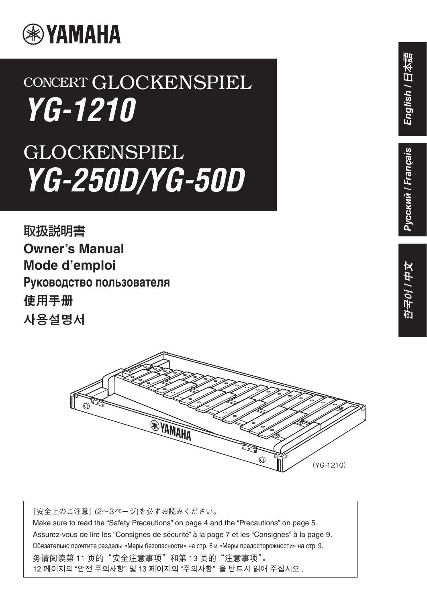

# CONCERT GLOCKENSPIEL *YG-1210*

# GLOCKENSPIEL *YG-250D/YG-50D*

取扱説明書 **Owner's Manual Mode d'emploi Руководство пользователя** 使用手册 사용설명서



『安全上のご注意』 (2〜3ページ)を必ずお読みください。 Make sure to read the "Safety Precautions" on page 4 and the "Precautions" on page 5. Assurez-vous de lire les "Consignes de sécurité" à la page 7 et les "Consignes" à la page 9. Обязательно прочтите разделы «Меры безопасности» на стр. 8 и «Меры предосторожности» на стр. 9. 务请阅读第 11 页的"安全注意事项"和第 13 页的"注意事项"。 12 페이지의 "안전 주의사항" 및 13 페이지의 "주의사항" 을 반드시 읽어 주십시오 .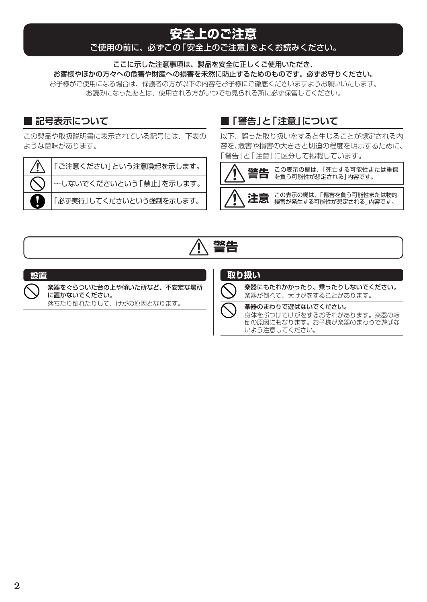## **安全上のご注意**

#### ご使用の前に、必ずこの「安全上のご注意」をよくお読みください。

ここに示した注意事項は、製品を安全に正しくご使用いただき、 お客様やほかの方々への危害や財産への損害を未然に防止するためのものです。必ずお守りください。 お子様がご使用になる場合は、保護者の方が以下の内容をお子様にご徹底くださいますようお願いいたします。 お読みになったあとは、使用される方がいつでも見られる所に必ず保管してください。

#### **■ 記号表示について**

この製品や取扱説明書に表示されている記号には、下表の ような意味があります。

「ご注意ください」という注意喚起を示します。

~しないでくださいという「禁止」を示します。

「必ず実行」してくださいという強制を示します。

### ■ 「警告<sup>1</sup>と「注意1について

以下、誤った取り扱いをすると生じることが想定される内 容を、危害や損害の大きさと切迫の程度を明示するために、 「警告」と「注意」に区分して掲載しています。





#### **設置**

楽器をぐらついた台の上や傾いた所など、不安定な場所 に置かないでください。

落ちたり倒れたりして、けがの原因となります。

#### **取り扱い**

楽器にもたれかかったり、乗ったりしないでください。 楽器が倒れて、大けがをすることがあります。

楽器のまわりで遊ばないでください。 身体をぶつけてけがをするおそれがあります。楽器の転 倒の原因にもなります。お子様が楽器のまわりで遊ばな いよう注意してください。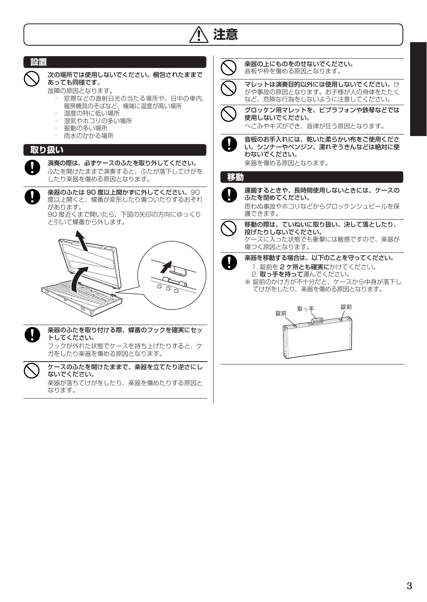

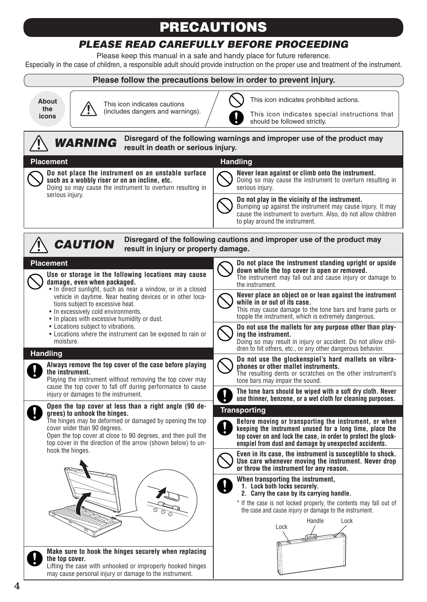# PRECAUTIONS

### *PLEASE READ CAREFULLY BEFORE PROCEEDING*

Please keep this manual in a safe and handy place for future reference.

Especially in the case of children, a responsible adult should provide instruction on the proper use and treatment of the instrument.

#### **Please follow the precautions below in order to prevent injury.**

**About the icons**



This icon indicates special instructions that should be followed strictly.

This icon indicates prohibited actions.

#### *WARNING CAUTION* Lock Handle Lock **Placement Use or storage in the following locations may cause damage, even when packaged.**  • In direct sunlight, such as near a window, or in a closed vehicle in daytime. Near heating devices or in other locations subject to excessive heat. • In excessively cold environments. • In places with excessive humidity or dust. • Locations subject to vibrations. • Locations where the instrument can be exposed to rain or moisture. **Handling Always remove the top cover of the case before playing the instrument.** Playing the instrument without removing the top cover may cause the top cover to fall off during performance to cause injury or damages to the instrument. **Open the top cover at less than a right angle (90 degrees) to unhook the hinges.**  The hinges may be deformed or damaged by opening the top cover wider than 90 degrees. Open the top cover at close to 90 degrees, and then pull the top cover in the direction of the arrow (shown below) to unhook the hinges. **Make sure to hook the hinges securely when replacing the top cover. Disregard of the following warnings and improper use of the product may result in death or serious injury. Disregard of the following cautions and improper use of the product may result in injury or property damage. Do not place the instrument standing upright or upside down while the top cover is open or removed.** The instrument may fall out and cause injury or damage to the instrument. **Never place an object on or lean against the instrument while in or out of its case.**  This may cause damage to the tone bars and frame parts or topple the instrument, which is extremely dangerous. **Do not use the mallets for any purpose other than playing the instrument.** Doing so may result in injury or accident. Do not allow children to hit others, etc., or any other dangerous behavior. **Do not use the glockenspiel's hard mallets on vibraphones or other mallet instruments.**  The resulting dents or scratches on the other instrument's tone bars may impair the sound. **The tone bars should be wiped with a soft dry cloth. Never use thinner, benzene, or a wet cloth for cleaning purposes. Transporting Before moving or transporting the instrument, or when keeping the instrument unused for a long time, place the top cover on and lock the case, in order to protect the glockenspiel from dust and damage by unexpected accidents. Even in its case, the instrument is susceptible to shock. Use care whenever moving the instrument. Never drop or throw the instrument for any reason. When transporting the instrument, 1. Lock both locks securely. 2. Carry the case by its carrying handle.** \* If the case is not locked properly, the contents may fall out of the case and cause injury or damage to the instrument. **Placement Do not place the instrument on an unstable surface such as a wobbly riser or on an incline, etc.** Doing so may cause the instrument to overturn resulting in serious injury. **Handling Never lean against or climb onto the instrument.** Doing so may cause the instrument to overturn resulting in serious injury. **Do not play in the vicinity of the instrument.** Bumping up against the instrument may cause injury. It may cause the instrument to overturn. Also, do not allow children to play around the instrument.

Lifting the case with unhooked or improperly hooked hinges may cause personal injury or damage to the instrument.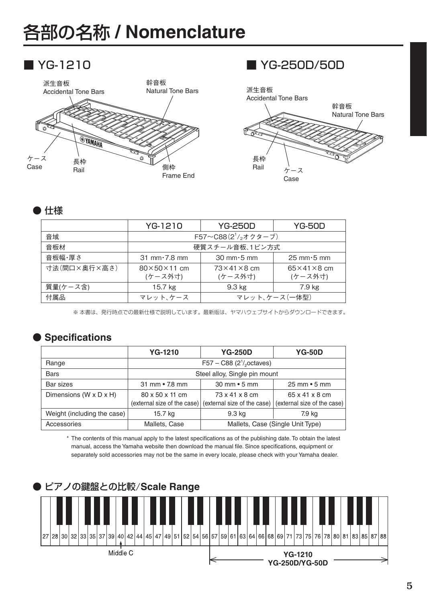# 各部の名称 **/ Nomenclature**





#### ● 仕様

| YG-1210                            | <b>YG-250D</b>                     | YG-50D                             |
|------------------------------------|------------------------------------|------------------------------------|
| F57~C88 $(2^1/377)$                |                                    |                                    |
| 硬質スチール音板、1ピン方式                     |                                    |                                    |
| $31$ mm $\cdot$ 7.8 mm             | $30 \text{ mm} \cdot 5 \text{ mm}$ | $25 \text{ mm} \cdot 5 \text{ mm}$ |
| $80\times50\times11$ cm<br>(ケース外寸) | $73\times41\times8$ cm<br>(ケース外寸)  | $65\times41\times8$ cm<br>(ケース外寸)  |
| 15.7 kg                            | 9.3 kg                             | 7.9 kg                             |
| マレット、ケース                           |                                    | マレット、ケース (一体型)                     |
|                                    |                                    |                                    |

※ 本書は、発行時点での最新仕様で説明しています。最新版は、ヤマハウェブサイトからダウンロードできます。

#### ● **Specifications**

|                                      | <b>YG-1210</b>                                      | <b>YG-250D</b>                                                              | <b>YG-50D</b>                                 |
|--------------------------------------|-----------------------------------------------------|-----------------------------------------------------------------------------|-----------------------------------------------|
| Range                                | $F57 - C88$ (2 <sup>1</sup> / <sub>2</sub> octaves) |                                                                             |                                               |
| <b>Bars</b>                          | Steel alloy, Single pin mount                       |                                                                             |                                               |
| Bar sizes                            | $31 \text{ mm} \cdot 7.8 \text{ mm}$                | $30 \text{ mm} \cdot 5 \text{ mm}$                                          | $25 \text{ mm} \cdot 5 \text{ mm}$            |
| Dimensions (W $\times$ D $\times$ H) | 80 x 50 x 11 cm                                     | 73 x 41 x 8 cm<br>(external size of the case)   (external size of the case) | 65 x 41 x 8 cm<br>(external size of the case) |
| Weight (including the case)          | 15.7 kg                                             | 9.3 kg                                                                      | 7.9 kg                                        |
| Accessories                          | Mallets, Case                                       |                                                                             | Mallets, Case (Single Unit Type)              |

\* The contents of this manual apply to the latest specifications as of the publishing date. To obtain the latest manual, access the Yamaha website then download the manual file. Since specifications, equipment or separately sold accessories may not be the same in every locale, please check with your Yamaha dealer.

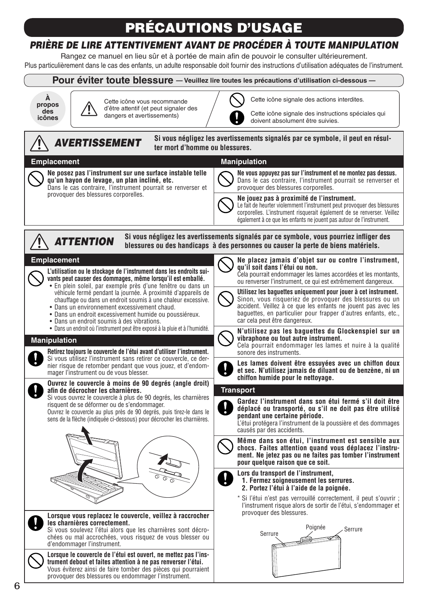# PRÉCAUTIONS D'USAGE

### *PRIÈRE DE LIRE ATTENTIVEMENT AVANT DE PROCÉDER À TOUTE MANIPULATION*

Rangez ce manuel en lieu sûr et à portée de main afin de pouvoir le consulter ultérieurement. Plus particulièrement dans le cas des enfants, un adulte responsable doit fournir des instructions d'utilisation adéquates de l'instrument.



**trument debout et faites attention à ne pas renverser l'étui.** Vous éviterez ainsi de faire tomber des pièces qui pourraient provoquer des blessures ou endommager l'instrument.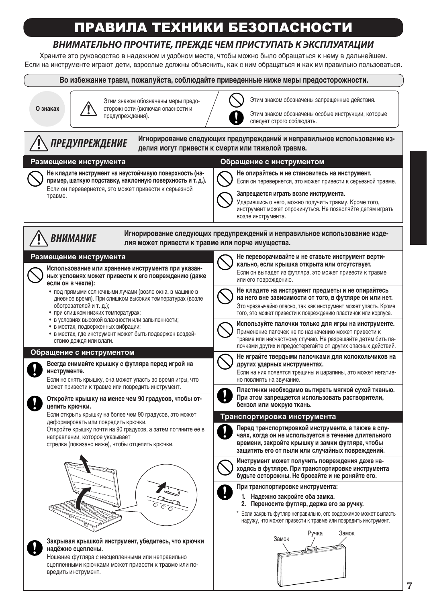# ПРАВИЛА ТЕХНИКИ БЕЗОПАСНОСТИ

#### *ВНИМАТЕЛЬНО ПРОЧТИТЕ, ПРЕЖДЕ ЧЕМ ПРИСТУПАТЬ К ЭКСПЛУАТАЦИИ*

Храните это руководство в надежном и удобном месте, чтобы можно было обращаться к нему в дальнейшем. Если на инструменте играют дети, взрослые должны объяснить, как с ним обращаться и как им правильно пользоваться.

**Во избежание травм, пожалуйста, соблюдайте приведенные ниже меры предосторожности.**

**О знаках**

Этим знаком обозначены меры предосторожности (включая опасности и предупреждения).



Этим знаком обозначены запрещенные действия.



Ношение футляра с несцепленными или неправильно сцепленными крючками может привести к травме или повредить инструмент.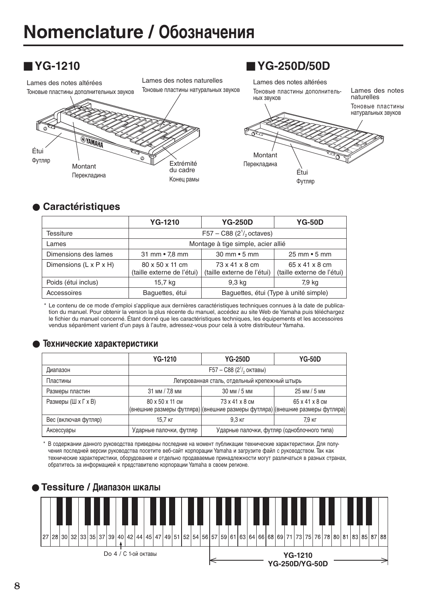

#### l **Caractéristiques**

|                        | <b>YG-1210</b>                                | <b>YG-250D</b>                               | <b>YG-50D</b>                                |
|------------------------|-----------------------------------------------|----------------------------------------------|----------------------------------------------|
| Tessiture              | F57 – C88 $(2^1/2)$ octaves)                  |                                              |                                              |
| Lames                  | Montage à tige simple, acier allié            |                                              |                                              |
| Dimensions des lames   | 31 mm • 7,8 mm                                | $30 \text{ mm} \cdot 5 \text{ mm}$           | $25 \text{ mm} \cdot 5 \text{ mm}$           |
| Dimensions (L x P x H) | 80 x 50 x 11 cm<br>(taille externe de l'étui) | 73 x 41 x 8 cm<br>(taille externe de l'étui) | 65 x 41 x 8 cm<br>(taille externe de l'étui) |
| Poids (étui inclus)    | 15,7 kg                                       | 9.3 kg                                       | 7,9 kg                                       |
| Accessoires            | Baguettes, étui                               | Baguettes, étui (Type à unité simple)        |                                              |

\* Le contenu de ce mode d'emploi s'applique aux dernières caractéristiques techniques connues à la date de publication du manuel. Pour obtenir la version la plus récente du manuel, accédez au site Web de Yamaha puis téléchargez le fichier du manuel concerné. Étant donné que les caractéristiques techniques, les équipements et les accessoires vendus séparément varient d'un pays à l'autre, adressez-vous pour cela à votre distributeur Yamaha.

#### l **Технические характеристики**

|                      | <b>YG-1210</b>                                | <b>YG-250D</b>                                                                                  | <b>YG-50D</b>                               |
|----------------------|-----------------------------------------------|-------------------------------------------------------------------------------------------------|---------------------------------------------|
| Диапазон             | $F57 - C88 (21/2$ октавы)                     |                                                                                                 |                                             |
| Пластины             | Легированная сталь, отдельный крепежный штырь |                                                                                                 |                                             |
| Размеры пластин      | 31 мм / 7,8 мм                                | 30 мм / 5 мм                                                                                    | 25 мм / 5 мм                                |
| Размеры (Ш х Г х В)  | 80 x 50 x 11 cm                               | 73 x 41 x 8 cm<br>(внешние размеры футляра) (внешние размеры футляра) (внешние размеры футляра) | 65 x 41 x 8 cm                              |
| Вес (включая футляр) | 15.7 кг                                       | 9.3 кг                                                                                          | 7.9 кг                                      |
| Аксессуары           | Ударные палочки, футляр                       |                                                                                                 | Ударные палочки, футляр (одноблочного типа) |

\* В содержании данного руководства приведены последние на момент публикации технические характеристики. Для получения последней версии руководства посетите веб-сайт корпорации Yamaha и загрузите файл с руководством. Так как технические характеристики, оборудование и отдельно продаваемые принадлежности могут различаться в разных странах, обратитесь за информацией к представителю корпорации Yamaha в своем регионе.

#### **• Tessiture / Диапазон шкалы**

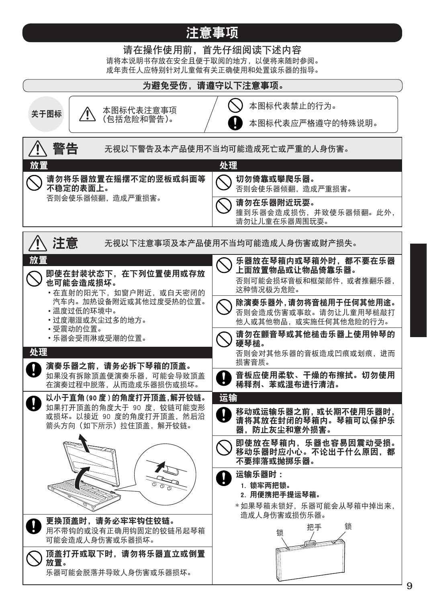### 注意事项

请在操作使用前,首先仔细阅读下述内容 请将本说明书存放在安全且便于取阅的地方,以便将来随时参阅。 成年责任人应特别针对儿童做有关正确使用和处置该乐器的指导。

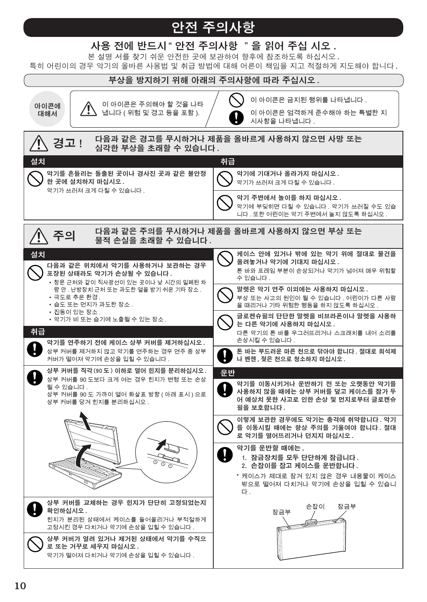## 안전 주의사항

#### 사용 전에 반드시 "안전 주의사항 "을 읽어 주십 시오 .

본 설명 서를 찾기 쉬운 안전한 곳에 보관하여 향후에 참조하도록 하십시오 .

특히 어린이의 경우 악기의 올바른 사용법 및 취급 방법에 대해 어른이 책임을 지고 적절하게 지도해야 합니다 .

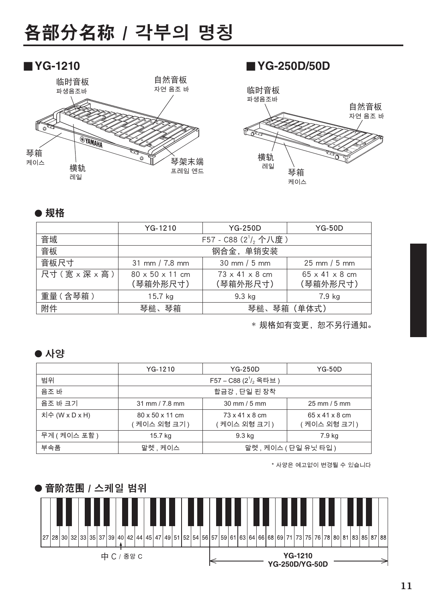# 各部分名称 / 각부의 명칭





#### **● 规格**

|           | $YG-1210$                                     | <b>YG-250D</b>                         | $YG-50D$                               |
|-----------|-----------------------------------------------|----------------------------------------|----------------------------------------|
| 音域        | F57 - C88 (2 <sup>1</sup> / <sub>2</sub> 个八度) |                                        |                                        |
| 音板        | 钢合金, 单销安装                                     |                                        |                                        |
| 音板尺寸      | 31 mm $/ 7.8$ mm                              | $30 \text{ mm} / 5 \text{ mm}$         | $25 \text{ mm} / 5 \text{ mm}$         |
| 尺寸(宽×深×高) | $80 \times 50 \times 11$ cm<br>(琴箱外形尺寸)       | $73 \times 41 \times 8$ cm<br>(琴箱外形尺寸) | $65 \times 41 \times 8$ cm<br>(琴箱外形尺寸) |
| 重量 (含琴箱)  | $15.7$ kg                                     | 9.3 kg                                 | 7.9 kg                                 |
| 附件        | 琴箱<br>琴槌、琴箱(单体式)<br>琴槌、                       |                                        |                                        |

\* 规格如有变更,恕不另行通知。

#### ● 사양

|                | YG-1210                          | <b>YG-250D</b>                  | $YG-50D$                               |
|----------------|----------------------------------|---------------------------------|----------------------------------------|
| 범위             | F57 - C88 ( $2^{1}/2$ 옥타브)       |                                 |                                        |
| 음조 바           | 합금강 , 단일 핀 장착                    |                                 |                                        |
| 음조 바 크기        | $31 \text{ mm} / 7.8 \text{ mm}$ | $30 \text{ mm} / 5 \text{ mm}$  | $25$ mm $/5$ mm                        |
| 치수 (W x D x H) | 80 x 50 x 11 cm<br>(케이스 외형 크기 )  | 73 x 41 x 8 cm<br>( 케이스 외형 크기 ) | 65 x 41 x 8 cm<br><b>ˈ 케이스 외형 크기 )</b> |
| 무게 (케이스 포함)    | 15.7 kg                          | 9.3 kg                          | 7.9 kg                                 |
| 부속품            | 말렛, 케이스<br>말렛, 케이스 (단일 유닛 타입)    |                                 |                                        |

\* 사양은 예고없이 변경될 수 있습니다